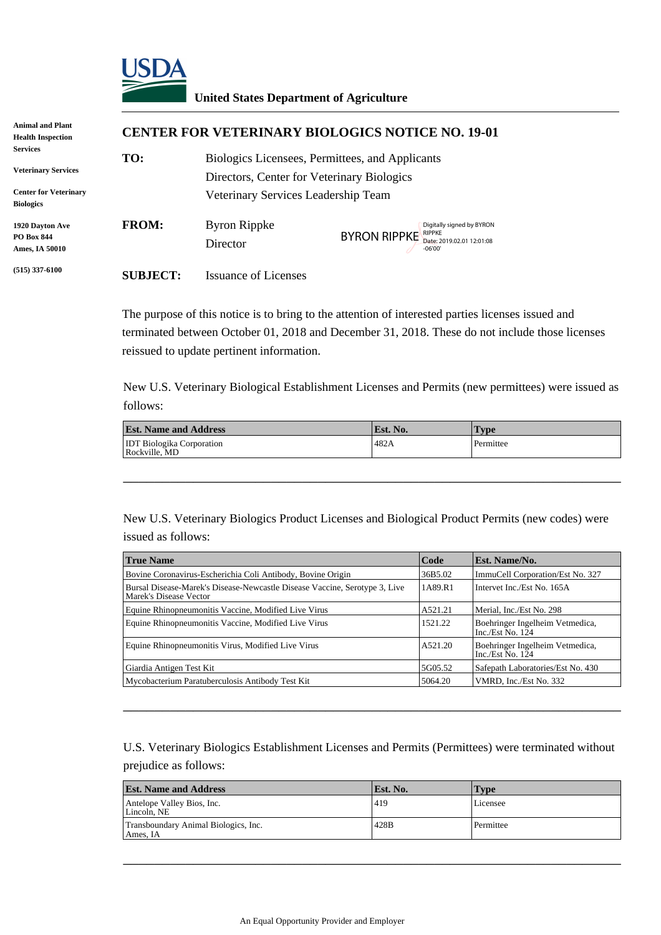

## **United States Department of Agriculture**

| <b>Animal and Plant</b><br><b>Health Inspection</b>                    |                 | <b>CENTER FOR VETERINARY BIOLOGICS NOTICE NO. 19-01</b>                                                                              |                                                                                  |  |  |
|------------------------------------------------------------------------|-----------------|--------------------------------------------------------------------------------------------------------------------------------------|----------------------------------------------------------------------------------|--|--|
| Services<br><b>Veterinary Services</b><br><b>Center for Veterinary</b> | TO:             | Biologics Licensees, Permittees, and Applicants<br>Directors, Center for Veterinary Biologics<br>Veterinary Services Leadership Team |                                                                                  |  |  |
| <b>Biologics</b>                                                       |                 |                                                                                                                                      |                                                                                  |  |  |
| 1920 Davton Ave<br><b>PO Box 844</b><br>Ames, IA 50010                 | <b>FROM:</b>    | <b>Byron Rippke</b><br>Director                                                                                                      | Digitally signed by BYRON<br>BYRON RIPPKE Date: 2019.02.01 12:01:08<br>$-06'00'$ |  |  |
| $(515)$ 337-6100                                                       | <b>SUBJECT:</b> | <b>Issuance of Licenses</b>                                                                                                          |                                                                                  |  |  |

| <b>Est. Name and Address</b>                      | Est. No. | 'Type     |
|---------------------------------------------------|----------|-----------|
| <b>IDT</b> Biologika Corporation<br>Rockville, MD | 482A     | Permittee |

|                                                                                                                                                        | Director                                                                                                                                       | <b>BYRON RIPPKE</b> | RIPPKE<br>Date: 2019.02.01 12:01:08<br>$-06'00'$ |                                                                                                   |  |
|--------------------------------------------------------------------------------------------------------------------------------------------------------|------------------------------------------------------------------------------------------------------------------------------------------------|---------------------|--------------------------------------------------|---------------------------------------------------------------------------------------------------|--|
| <b>SUBJECT:</b>                                                                                                                                        | <b>Issuance of Licenses</b>                                                                                                                    |                     |                                                  |                                                                                                   |  |
|                                                                                                                                                        | The purpose of this notice is to bring to the attention of interested parties licenses issued and<br>reissued to update pertinent information. |                     |                                                  | terminated between October 01, 2018 and December 31, 2018. These do not include those licenses    |  |
|                                                                                                                                                        |                                                                                                                                                |                     |                                                  | New U.S. Veterinary Biological Establishment Licenses and Permits (new permittees) were issued as |  |
| follows:<br><b>Est. Name and Address</b>                                                                                                               |                                                                                                                                                |                     |                                                  |                                                                                                   |  |
| <b>IDT Biologika Corporation</b>                                                                                                                       |                                                                                                                                                | Est. No.<br>482A    |                                                  | <b>Type</b><br>Permittee                                                                          |  |
| issued as follows:                                                                                                                                     |                                                                                                                                                |                     |                                                  | New U.S. Veterinary Biologics Product Licenses and Biological Product Permits (new codes) were    |  |
| <b>True Name</b>                                                                                                                                       |                                                                                                                                                |                     | Code                                             | Est. Name/No.                                                                                     |  |
|                                                                                                                                                        | Bovine Coronavirus-Escherichia Coli Antibody, Bovine Origin                                                                                    |                     | 36B5.02                                          | ImmuCell Corporation/Est No. 327                                                                  |  |
| Marek's Disease Vector                                                                                                                                 | Bursal Disease-Marek's Disease-Newcastle Disease Vaccine, Serotype 3, Live                                                                     |                     | 1A89.R1                                          | Intervet Inc./Est No. 165A                                                                        |  |
|                                                                                                                                                        | Equine Rhinopneumonitis Vaccine, Modified Live Virus                                                                                           |                     | A521.21                                          | Merial, Inc./Est No. 298                                                                          |  |
|                                                                                                                                                        | Equine Rhinopneumonitis Vaccine, Modified Live Virus                                                                                           |                     | 1521.22                                          | Boehringer Ingelheim Vetmedica,<br>Inc./Est $\overline{N}$ o. 124                                 |  |
|                                                                                                                                                        |                                                                                                                                                |                     |                                                  | Boehringer Ingelheim Vetmedica,<br>Inc./Est $No. 124$                                             |  |
|                                                                                                                                                        | Equine Rhinopneumonitis Virus, Modified Live Virus                                                                                             |                     | A521.20                                          |                                                                                                   |  |
| Giardia Antigen Test Kit                                                                                                                               |                                                                                                                                                |                     | 5G05.52                                          | Safepath Laboratories/Est No. 430                                                                 |  |
|                                                                                                                                                        | Mycobacterium Paratuberculosis Antibody Test Kit                                                                                               |                     | 5064.20                                          | VMRD, Inc./Est No. 332                                                                            |  |
|                                                                                                                                                        |                                                                                                                                                |                     |                                                  | U.S. Veterinary Biologics Establishment Licenses and Permits (Permittees) were terminated without |  |
|                                                                                                                                                        |                                                                                                                                                | Est. No.            |                                                  | Type                                                                                              |  |
|                                                                                                                                                        |                                                                                                                                                | 419                 |                                                  | Licensee                                                                                          |  |
| prejudice as follows:<br><b>Est. Name and Address</b><br>Antelope Valley Bios, Inc.<br>Lincoln, NE<br>Transboundary Animal Biologics, Inc.<br>Ames, IA |                                                                                                                                                | 428B                |                                                  | Permittee                                                                                         |  |

| <b>Est. Name and Address</b>                     | Est. No. | <b>Type</b> |
|--------------------------------------------------|----------|-------------|
| Antelope Valley Bios, Inc.<br>Lincoln. NE        | 419      | Licensee    |
| Transboundary Animal Biologics, Inc.<br>Ames. IA | 428B     | Permittee   |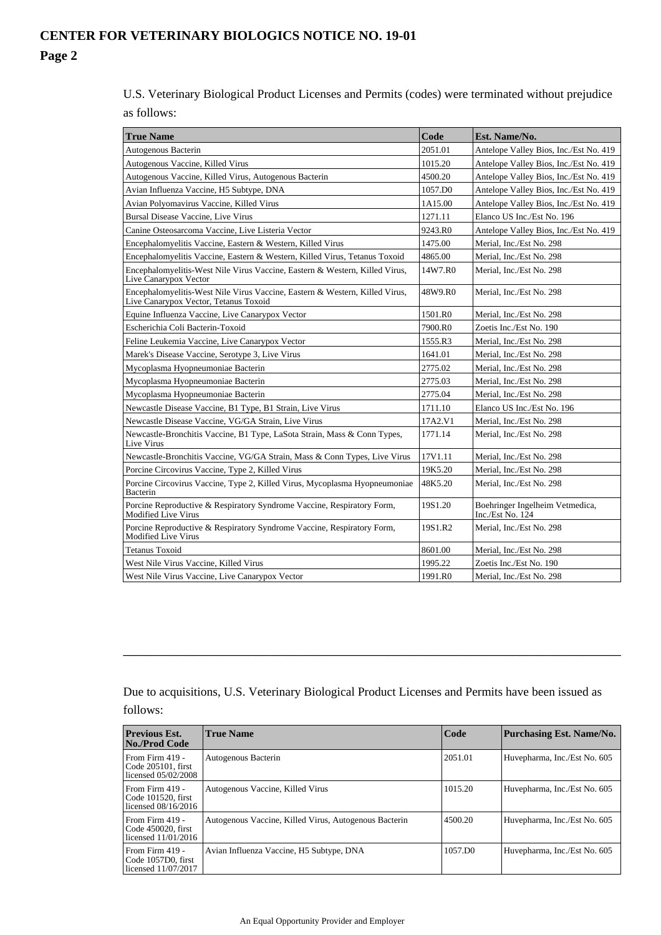U.S. Veterinary Biological Product Licenses and Permits (codes) were terminated without prejudice as follows:

| <b>True Name</b>                                                                                                     | Code                | Est. Name/No.                                                     |
|----------------------------------------------------------------------------------------------------------------------|---------------------|-------------------------------------------------------------------|
| Autogenous Bacterin                                                                                                  | 2051.01             | Antelope Valley Bios, Inc./Est No. 419                            |
| Autogenous Vaccine, Killed Virus                                                                                     | 1015.20             | Antelope Valley Bios, Inc./Est No. 419                            |
| Autogenous Vaccine, Killed Virus, Autogenous Bacterin                                                                | 4500.20             | Antelope Valley Bios, Inc./Est No. 419                            |
| Avian Influenza Vaccine, H5 Subtype, DNA                                                                             | 1057.D0             | Antelope Valley Bios, Inc./Est No. 419                            |
| Avian Polyomavirus Vaccine, Killed Virus                                                                             | 1A15.00             | Antelope Valley Bios, Inc./Est No. 419                            |
| <b>Bursal Disease Vaccine, Live Virus</b>                                                                            | 1271.11             | Elanco US Inc./Est No. 196                                        |
| Canine Osteosarcoma Vaccine, Live Listeria Vector                                                                    | 9243.R0             | Antelope Valley Bios, Inc./Est No. 419                            |
| Encephalomyelitis Vaccine, Eastern & Western, Killed Virus                                                           | 1475.00             | Merial. Inc./Est No. 298                                          |
| Encephalomyelitis Vaccine, Eastern & Western, Killed Virus, Tetanus Toxoid                                           | 4865.00             | Merial, Inc./Est No. 298                                          |
| Encephalomyelitis-West Nile Virus Vaccine, Eastern & Western, Killed Virus,<br>Live Canarypox Vector                 | 14W7.R0             | Merial, Inc./Est No. 298                                          |
| Encephalomyelitis-West Nile Virus Vaccine, Eastern & Western, Killed Virus,<br>Live Canarypox Vector, Tetanus Toxoid | 48W9.R0             | Merial, Inc./Est No. 298                                          |
| Equine Influenza Vaccine, Live Canarypox Vector                                                                      | 1501.R0             | Merial, Inc./Est No. 298                                          |
| Escherichia Coli Bacterin-Toxoid                                                                                     | 7900.R0             | Zoetis Inc./Est No. 190                                           |
| Feline Leukemia Vaccine, Live Canarypox Vector                                                                       | 1555.R3             | Merial, Inc./Est No. 298                                          |
| Marek's Disease Vaccine, Serotype 3, Live Virus                                                                      | 1641.01             | Merial, Inc./Est No. 298                                          |
| Mycoplasma Hyopneumoniae Bacterin                                                                                    | 2775.02             | Merial, Inc./Est No. 298                                          |
| Mycoplasma Hyopneumoniae Bacterin                                                                                    | 2775.03             | Merial, Inc./Est No. 298                                          |
| Mycoplasma Hyopneumoniae Bacterin                                                                                    | 2775.04             | Merial, Inc./Est No. 298                                          |
| Newcastle Disease Vaccine, B1 Type, B1 Strain, Live Virus                                                            | 1711.10             | Elanco US Inc./Est No. 196                                        |
| Newcastle Disease Vaccine, VG/GA Strain, Live Virus                                                                  | 17A2.V1             | Merial, Inc./Est No. 298                                          |
| Newcastle-Bronchitis Vaccine, B1 Type, LaSota Strain, Mass & Conn Types,<br>Live Virus                               | 1771.14             | Merial, Inc./Est No. 298                                          |
| Newcastle-Bronchitis Vaccine, VG/GA Strain, Mass & Conn Types, Live Virus                                            | 17V1.11             | Merial, Inc./Est No. 298                                          |
| Porcine Circovirus Vaccine, Type 2, Killed Virus                                                                     | 19K5.20             | Merial, Inc./Est No. 298                                          |
| Porcine Circovirus Vaccine, Type 2, Killed Virus, Mycoplasma Hyopneumoniae<br>Bacterin                               | 48K5.20             | Merial. Inc./Est No. 298                                          |
| Porcine Reproductive & Respiratory Syndrome Vaccine, Respiratory Form,<br>Modified Live Virus                        | 19S1.20             | Boehringer Ingelheim Vetmedica,<br>Inc./Est $\overline{N}$ o. 124 |
| Porcine Reproductive & Respiratory Syndrome Vaccine, Respiratory Form,<br><b>Modified Live Virus</b>                 | 19S1.R2             | Merial, Inc./Est No. 298                                          |
| <b>Tetanus Toxoid</b>                                                                                                | 8601.00             | Merial, Inc./Est No. 298                                          |
| West Nile Virus Vaccine, Killed Virus                                                                                | 1995.22             | Zoetis Inc./Est No. 190                                           |
| West Nile Virus Vaccine, Live Canarypox Vector                                                                       | 1991.R <sub>0</sub> | Merial, Inc./Est No. 298                                          |

Due to acquisitions, U.S. Veterinary Biological Product Licenses and Permits have been issued as follows:

\_\_\_\_\_\_\_\_\_\_\_\_\_\_\_\_\_\_\_\_\_\_\_\_\_\_\_\_\_\_\_\_\_\_\_\_\_\_\_\_\_\_\_\_\_\_\_\_\_\_\_\_\_\_\_\_\_\_\_\_\_\_\_\_

| <b>Previous Est.</b><br><b>No./Prod Code</b>                     | <b>True Name</b>                                      | Code    | Purchasing Est. Name/No.     |
|------------------------------------------------------------------|-------------------------------------------------------|---------|------------------------------|
| From Firm $419 -$<br>Code 205101, first<br>licensed 05/02/2008   | Autogenous Bacterin                                   | 2051.01 | Huvepharma, Inc./Est No. 605 |
| From Firm $419 -$<br>Code 101520, first<br>licensed $08/16/2016$ | Autogenous Vaccine, Killed Virus                      | 1015.20 | Huvepharma, Inc./Est No. 605 |
| From Firm $419 -$<br>Code 450020, first<br>licensed $11/01/2016$ | Autogenous Vaccine, Killed Virus, Autogenous Bacterin | 4500.20 | Huvepharma, Inc./Est No. 605 |
| From Firm 419 -<br>Code 1057D0, first<br>licensed 11/07/2017     | Avian Influenza Vaccine, H5 Subtype, DNA              | 1057.DO | Huvepharma, Inc./Est No. 605 |